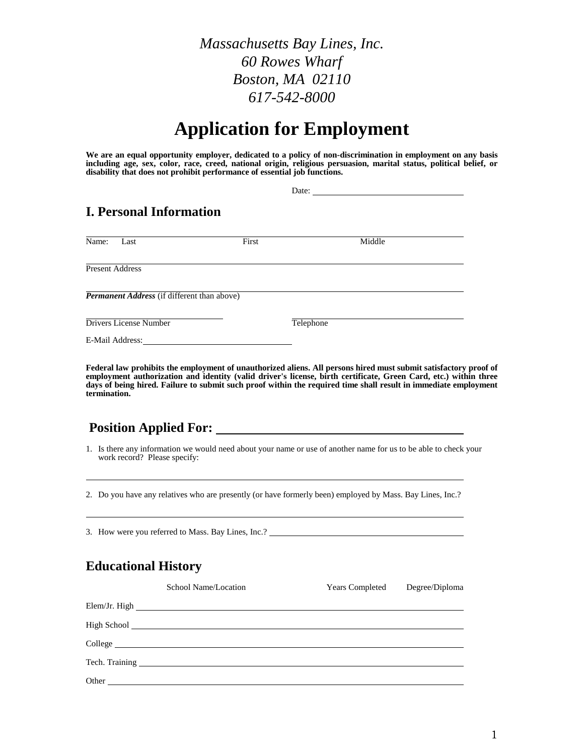*Massachusetts Bay Lines, Inc. 60 Rowes Wharf Boston, MA 02110 617-542-8000*

# **Application for Employment** *(Please Print)*

**We are an equal opportunity employer, dedicated to a policy of non-discrimination in employment on any basis including age, sex, color, race, creed, national origin, religious persuasion, marital status, political belief, or disability that does not prohibit performance of essential job functions.**

|                                |                                                    |       | Date:     |  |
|--------------------------------|----------------------------------------------------|-------|-----------|--|
| <b>I. Personal Information</b> |                                                    |       |           |  |
| Name:                          | Last                                               | First | Middle    |  |
| <b>Present Address</b>         |                                                    |       |           |  |
|                                | <b>Permanent Address</b> (if different than above) |       |           |  |
|                                | Drivers License Number                             |       | Telephone |  |
| E-Mail Address:                |                                                    |       |           |  |

**Federal law prohibits the employment of unauthorized aliens. All persons hired must submit satisfactory proof of**  employment authorization and identity (valid driver's license, birth certificate, Green Card, etc.) within three **days of being hired. Failure to submit such proof within the required time shall result in immediate employment termination.**

### **Position Applied For:**

1. Is there any information we would need about your name or use of another name for us to be able to check your work record? Please specify:

2. Do you have any relatives who are presently (or have formerly been) employed by Mass. Bay Lines, Inc.?

3. How were you referred to Mass. Bay Lines, Inc.?

#### **Educational History**

| School Name/Location                                                                                                                                                                                                           | <b>Years Completed</b> | Degree/Diploma |
|--------------------------------------------------------------------------------------------------------------------------------------------------------------------------------------------------------------------------------|------------------------|----------------|
|                                                                                                                                                                                                                                |                        |                |
|                                                                                                                                                                                                                                |                        |                |
| College entry the collection of the collection of the collection of the collection of the collection of the collection of the collection of the collection of the collection of the collection of the collection of the collec |                        |                |
|                                                                                                                                                                                                                                |                        |                |
|                                                                                                                                                                                                                                |                        |                |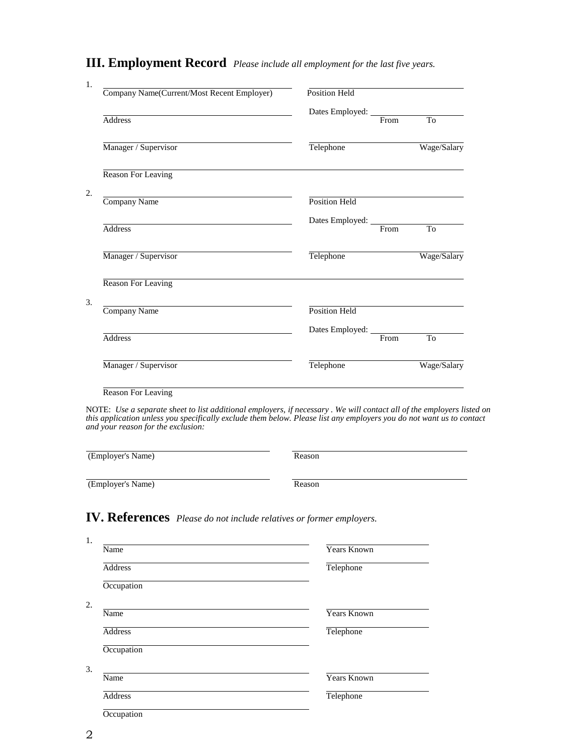## **III. Employment Record** *Please include all employment for the last five years.*

| Company Name(Current/Most Recent Employer) | Position Held            |      |                |
|--------------------------------------------|--------------------------|------|----------------|
|                                            | Dates Employed:          |      |                |
| Address                                    |                          | From | T <sub>0</sub> |
| Manager / Supervisor                       | Telephone                |      | Wage/Salary    |
| Reason For Leaving                         |                          |      |                |
|                                            |                          |      |                |
| Company Name                               | <b>Position Held</b>     |      |                |
| <b>Address</b>                             | Dates Employed: ________ | From | To             |
|                                            |                          |      |                |
| Manager / Supervisor                       | Telephone                |      | Wage/Salary    |
| <b>Reason For Leaving</b>                  |                          |      |                |
| Company Name                               | Position Held            |      |                |
|                                            | Dates Employed:          |      |                |
| <b>Address</b>                             |                          | From | T <sub>0</sub> |
| Manager / Supervisor                       | Telephone                |      | Wage/Salary    |

NOTE: *Use a separate sheet to list additional employers, if necessary . We will contact all of the employers listed on this application unless you specifically exclude them below. Please list any employers you do not want us to contact and your reason for the exclusion:*

(Employer's Name) Reason (Employer's Name) Reason

### **IV. References** *Please do not include relatives or former employers.*

| Name           | <b>Years Known</b> |
|----------------|--------------------|
| <b>Address</b> | Telephone          |
| Occupation     |                    |
|                |                    |
| Name           | <b>Years Known</b> |
| <b>Address</b> | Telephone          |
| Occupation     |                    |
|                |                    |
| Name           | <b>Years Known</b> |
| Address        | Telephone          |